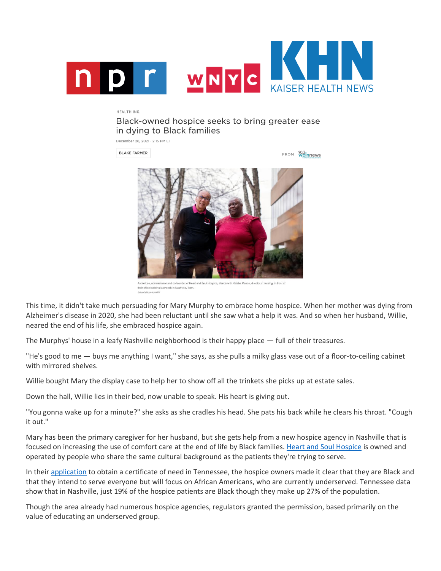

## HEALTH INC.

Black-owned hospice seeks to bring greater ease in dying to Black families

December 28, 2021 · 2:15 PM ET

**BLAKE FARMER** 

FROM Wplnnews



André Lee, administrator and co-founder of Heart and Soul H director of nursing, in front of heir office building last week in Nashville, Tenn. Erica Calhoun for NPI

This time, it didn't take much persuading for Mary Murphy to embrace home hospice. When her mother was dying from Alzheimer's disease in 2020, she had been reluctant until she saw what a help it was. And so when her husband, Willie, neared the end of his life, she embraced hospice again.

The Murphys' house in a leafy Nashville neighborhood is their happy place — full of their treasures.

"He's good to me — buys me anything I want," she says, as she pulls a milky glass vase out of a floor-to-ceiling cabinet with mirrored shelves.

Willie bought Mary the display case to help her to show off all the trinkets she picks up at estate sales.

Down the hall, Willie lies in their bed, now unable to speak. His heart is giving out.

"You gonna wake up for a minute?" she asks as she cradles his head. She pats his back while he clears his throat. "Cough it out."

Mary has been the primary caregiver for her husband, but she gets help from a new hospice agency in Nashville that is focused on increasing the use of comfort care at the end of life by Black families. [Heart and Soul Hospice](https://heartnsoulhospice.com/) is owned and operated by people who share the same cultural background as the patients they're trying to serve.

In their [application](https://www.tn.gov/content/dam/tn/hsda/documents/CN2007-025%20Heart%20and%20Soul%20Hospice.pdf) to obtain a certificate of need in Tennessee, the hospice owners made it clear that they are Black and that they intend to serve everyone but will focus on African Americans, who are currently underserved. Tennessee data show that in Nashville, just 19% of the hospice patients are Black though they make up 27% of the population.

Though the area already had numerous hospice agencies, regulators granted the permission, based primarily on the value of educating an underserved group.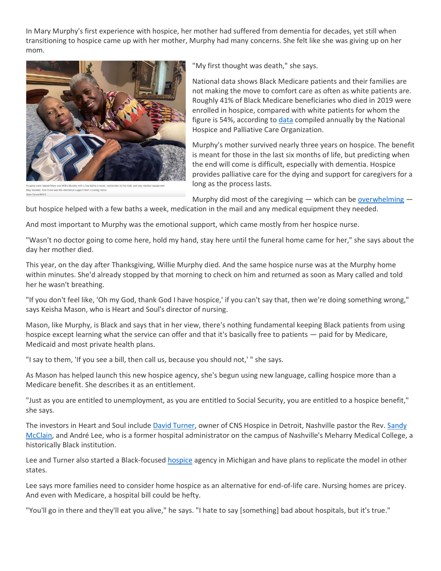In Mary Murphy's first experience with hospice, her mother had suffered from dementia for decades, yet still when transitioning to hospice came up with her mother, Murphy had many concerns. She felt like she was giving up on her mom.



Mary and Willie Murphy with a few baths a week, medic d there was the emotional support from a caring nurse

"My first thought was death," she says.

National data shows Black Medicare patients and their families are not making the move to comfort care as often as white patients are. Roughly 41% of Black Medicare beneficiaries who died in 2019 were enrolled in hospice, compared with white patients for whom the figure is 54%, according to [data](https://wpln.org/wp-content/uploads/sites/7/2021/12/NHPCO-Facts-Figures-2021-edition-1.pdf) compiled annually by the National Hospice and Palliative Care Organization.

Murphy's mother survived nearly three years on hospice. The benefit is meant for those in the last six months of life, but predicting when the end will come is difficult, especially with dementia. Hospice provides palliative care for the dying and support for caregivers for a long as the process lasts.

Murphy did most of the caregiving  $-$  which can be [overwhelming](https://khn.org/news/home-hospice-care-unexpectedly-burdens-family-caregivers/)  $-$ 

but hospice helped with a few baths a week, medication in the mail and any medical equipment they needed.

And most important to Murphy was the emotional support, which came mostly from her hospice nurse.

"Wasn't no doctor going to come here, hold my hand, stay here until the funeral home came for her," she says about the day her mother died.

This year, on the day after Thanksgiving, Willie Murphy died. And the same hospice nurse was at the Murphy home within minutes. She'd already stopped by that morning to check on him and returned as soon as Mary called and told her he wasn't breathing.

"If you don't feel like, 'Oh my God, thank God I have hospice,' if you can't say that, then we're doing something wrong," says Keisha Mason, who is Heart and Soul's director of nursing.

Mason, like Murphy, is Black and says that in her view, there's nothing fundamental keeping Black patients from using hospice except learning what the service can offer and that it's basically free to patients — paid for by Medicare, Medicaid and most private health plans.

"I say to them, 'If you see a bill, then call us, because you should not,' " she says.

As Mason has helped launch this new hospice agency, she's begun using new language, calling hospice more than a Medicare benefit. She describes it as an entitlement.

"Just as you are entitled to unemployment, as you are entitled to Social Security, you are entitled to a hospice benefit," she says.

The investors in Heart and Soul include [David Turner,](https://www.linkedin.com/in/david-turner-7250b6186/) owner of CNS Hospice in Detroit, Nashville pastor the Rev. [Sandy](https://www.mtcalvarymadisonchurch.org/meet-the-bishop)  [McClain,](https://www.mtcalvarymadisonchurch.org/meet-the-bishop) and André Lee, who is a former hospital administrator on the campus of Nashville's Meharry Medical College, a historically Black institution.

Lee and Turner also started a Black-focused [hospice](https://michiganchronicle.com/2015/03/25/owner-top-administer-of-hospice-company-exemplifies-compassionate-care-in-life-limiting-illnesses/) agency in Michigan and have plans to replicate the model in other states.

Lee says more families need to consider home hospice as an alternative for end-of-life care. Nursing homes are pricey. And even with Medicare, a hospital bill could be hefty.

"You'll go in there and they'll eat you alive," he says. "I hate to say [something] bad about hospitals, but it's true."